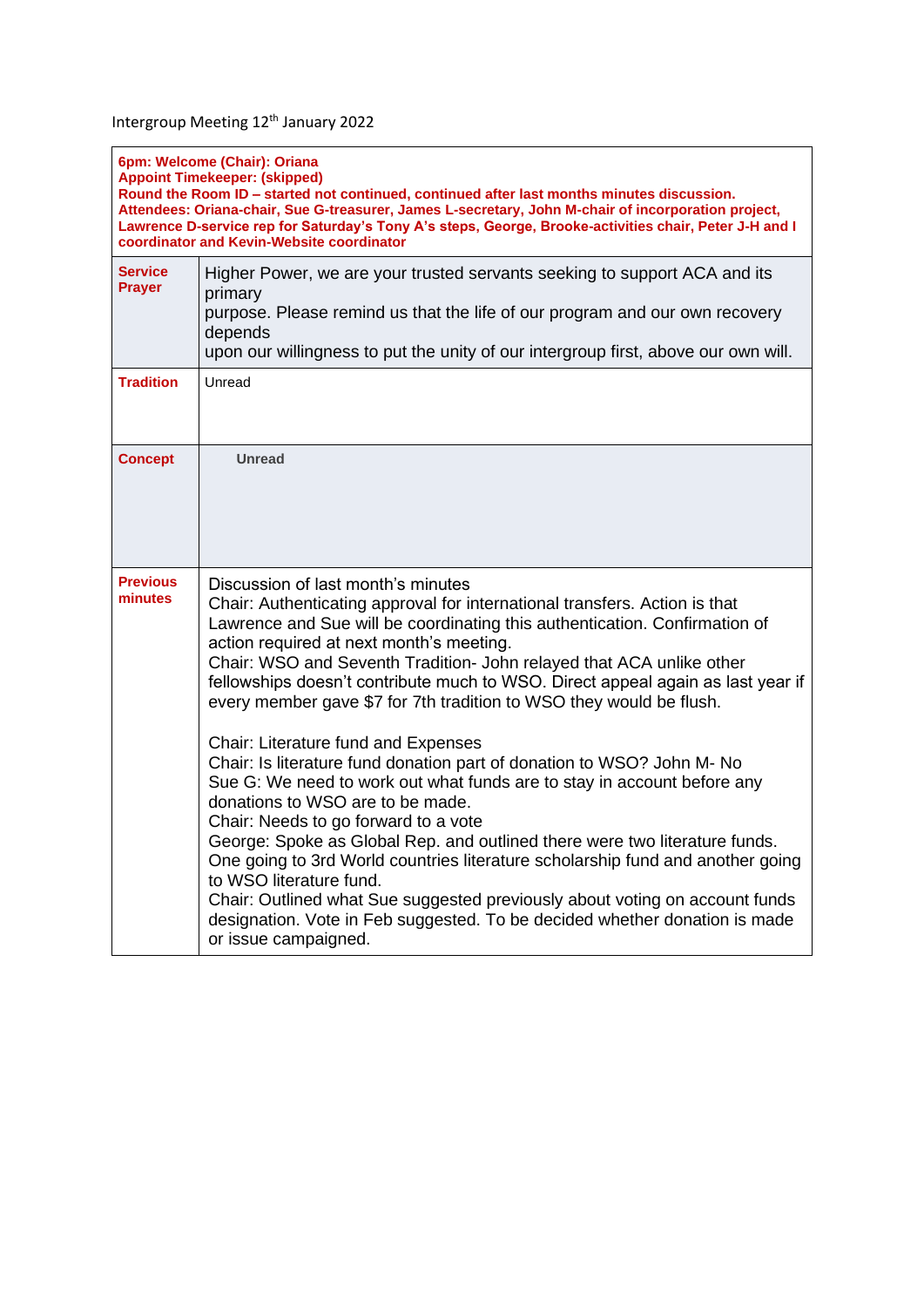Intergroup Meeting 12<sup>th</sup> January 2022

| 6pm: Welcome (Chair): Oriana<br><b>Appoint Timekeeper: (skipped)</b><br>Round the Room ID - started not continued, continued after last months minutes discussion.<br>Attendees: Oriana-chair, Sue G-treasurer, James L-secretary, John M-chair of incorporation project,<br>Lawrence D-service rep for Saturday's Tony A's steps, George, Brooke-activities chair, Peter J-H and I<br>coordinator and Kevin-Website coordinator |                                                                                                                                                                                                                                                                                                                                                                                                                                                                                                                                                                                                                                                                                                                                                                                                                                                                                                                                                                                                                                                                                                                                      |  |
|----------------------------------------------------------------------------------------------------------------------------------------------------------------------------------------------------------------------------------------------------------------------------------------------------------------------------------------------------------------------------------------------------------------------------------|--------------------------------------------------------------------------------------------------------------------------------------------------------------------------------------------------------------------------------------------------------------------------------------------------------------------------------------------------------------------------------------------------------------------------------------------------------------------------------------------------------------------------------------------------------------------------------------------------------------------------------------------------------------------------------------------------------------------------------------------------------------------------------------------------------------------------------------------------------------------------------------------------------------------------------------------------------------------------------------------------------------------------------------------------------------------------------------------------------------------------------------|--|
| <b>Service</b><br>Prayer                                                                                                                                                                                                                                                                                                                                                                                                         | Higher Power, we are your trusted servants seeking to support ACA and its<br>primary<br>purpose. Please remind us that the life of our program and our own recovery<br>depends<br>upon our willingness to put the unity of our intergroup first, above our own will.                                                                                                                                                                                                                                                                                                                                                                                                                                                                                                                                                                                                                                                                                                                                                                                                                                                                 |  |
| <b>Tradition</b>                                                                                                                                                                                                                                                                                                                                                                                                                 | Unread                                                                                                                                                                                                                                                                                                                                                                                                                                                                                                                                                                                                                                                                                                                                                                                                                                                                                                                                                                                                                                                                                                                               |  |
| <b>Concept</b>                                                                                                                                                                                                                                                                                                                                                                                                                   | <b>Unread</b>                                                                                                                                                                                                                                                                                                                                                                                                                                                                                                                                                                                                                                                                                                                                                                                                                                                                                                                                                                                                                                                                                                                        |  |
| <b>Previous</b><br>minutes                                                                                                                                                                                                                                                                                                                                                                                                       | Discussion of last month's minutes<br>Chair: Authenticating approval for international transfers. Action is that<br>Lawrence and Sue will be coordinating this authentication. Confirmation of<br>action required at next month's meeting.<br>Chair: WSO and Seventh Tradition- John relayed that ACA unlike other<br>fellowships doesn't contribute much to WSO. Direct appeal again as last year if<br>every member gave \$7 for 7th tradition to WSO they would be flush.<br>Chair: Literature fund and Expenses<br>Chair: Is literature fund donation part of donation to WSO? John M- No<br>Sue G: We need to work out what funds are to stay in account before any<br>donations to WSO are to be made.<br>Chair: Needs to go forward to a vote<br>George: Spoke as Global Rep. and outlined there were two literature funds.<br>One going to 3rd World countries literature scholarship fund and another going<br>to WSO literature fund.<br>Chair: Outlined what Sue suggested previously about voting on account funds<br>designation. Vote in Feb suggested. To be decided whether donation is made<br>or issue campaigned. |  |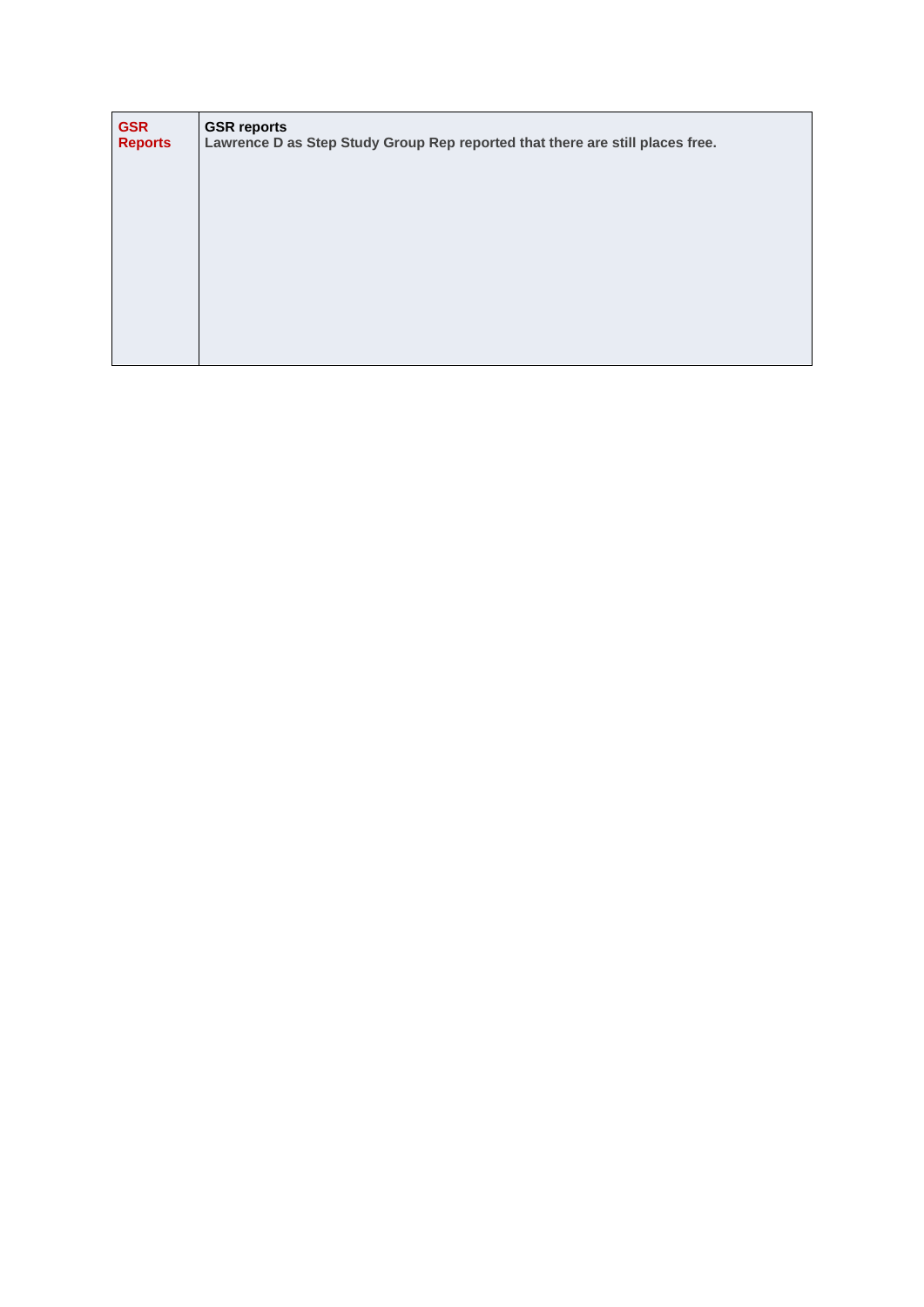| <b>GSR</b><br><b>Reports</b> | <b>GSR reports</b><br>Lawrence D as Step Study Group Rep reported that there are still places free. |
|------------------------------|-----------------------------------------------------------------------------------------------------|
|                              |                                                                                                     |
|                              |                                                                                                     |
|                              |                                                                                                     |
|                              |                                                                                                     |
|                              |                                                                                                     |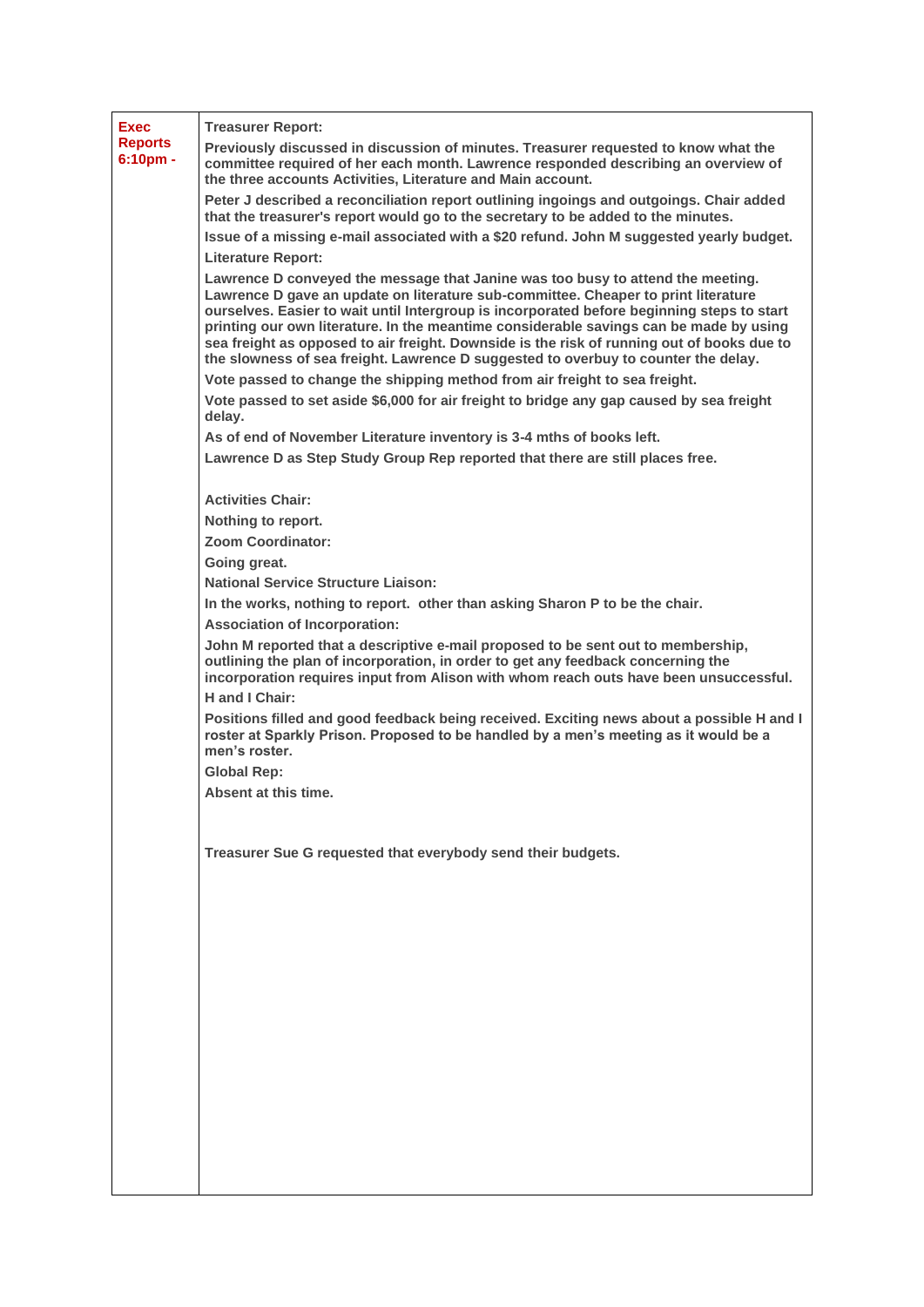| <b>Exec</b><br><b>Reports</b><br>$6:10pm$ . | <b>Treasurer Report:</b><br>Previously discussed in discussion of minutes. Treasurer requested to know what the<br>committee required of her each month. Lawrence responded describing an overview of<br>the three accounts Activities, Literature and Main account.                                                                                                                                                                                                                                                                                                                                                            |
|---------------------------------------------|---------------------------------------------------------------------------------------------------------------------------------------------------------------------------------------------------------------------------------------------------------------------------------------------------------------------------------------------------------------------------------------------------------------------------------------------------------------------------------------------------------------------------------------------------------------------------------------------------------------------------------|
|                                             | Peter J described a reconciliation report outlining ingoings and outgoings. Chair added<br>that the treasurer's report would go to the secretary to be added to the minutes.<br>Issue of a missing e-mail associated with a \$20 refund. John M suggested yearly budget.                                                                                                                                                                                                                                                                                                                                                        |
|                                             | <b>Literature Report:</b>                                                                                                                                                                                                                                                                                                                                                                                                                                                                                                                                                                                                       |
|                                             | Lawrence D conveyed the message that Janine was too busy to attend the meeting.<br>Lawrence D gave an update on literature sub-committee. Cheaper to print literature<br>ourselves. Easier to wait until Intergroup is incorporated before beginning steps to start<br>printing our own literature. In the meantime considerable savings can be made by using<br>sea freight as opposed to air freight. Downside is the risk of running out of books due to<br>the slowness of sea freight. Lawrence D suggested to overbuy to counter the delay.<br>Vote passed to change the shipping method from air freight to sea freight. |
|                                             | Vote passed to set aside \$6,000 for air freight to bridge any gap caused by sea freight<br>delay.                                                                                                                                                                                                                                                                                                                                                                                                                                                                                                                              |
|                                             | As of end of November Literature inventory is 3-4 mths of books left.                                                                                                                                                                                                                                                                                                                                                                                                                                                                                                                                                           |
|                                             | Lawrence D as Step Study Group Rep reported that there are still places free.                                                                                                                                                                                                                                                                                                                                                                                                                                                                                                                                                   |
|                                             | <b>Activities Chair:</b>                                                                                                                                                                                                                                                                                                                                                                                                                                                                                                                                                                                                        |
|                                             | Nothing to report.                                                                                                                                                                                                                                                                                                                                                                                                                                                                                                                                                                                                              |
|                                             | <b>Zoom Coordinator:</b><br>Going great.                                                                                                                                                                                                                                                                                                                                                                                                                                                                                                                                                                                        |
|                                             | <b>National Service Structure Liaison:</b>                                                                                                                                                                                                                                                                                                                                                                                                                                                                                                                                                                                      |
|                                             | In the works, nothing to report. other than asking Sharon P to be the chair.                                                                                                                                                                                                                                                                                                                                                                                                                                                                                                                                                    |
|                                             | <b>Association of Incorporation:</b>                                                                                                                                                                                                                                                                                                                                                                                                                                                                                                                                                                                            |
|                                             | John M reported that a descriptive e-mail proposed to be sent out to membership,<br>outlining the plan of incorporation, in order to get any feedback concerning the<br>incorporation requires input from Alison with whom reach outs have been unsuccessful.                                                                                                                                                                                                                                                                                                                                                                   |
|                                             | H and I Chair:<br>Positions filled and good feedback being received. Exciting news about a possible H and I<br>roster at Sparkly Prison. Proposed to be handled by a men's meeting as it would be a<br>men's roster.                                                                                                                                                                                                                                                                                                                                                                                                            |
|                                             | <b>Global Rep:</b>                                                                                                                                                                                                                                                                                                                                                                                                                                                                                                                                                                                                              |
|                                             | Absent at this time.                                                                                                                                                                                                                                                                                                                                                                                                                                                                                                                                                                                                            |
|                                             | Treasurer Sue G requested that everybody send their budgets.                                                                                                                                                                                                                                                                                                                                                                                                                                                                                                                                                                    |
|                                             |                                                                                                                                                                                                                                                                                                                                                                                                                                                                                                                                                                                                                                 |
|                                             |                                                                                                                                                                                                                                                                                                                                                                                                                                                                                                                                                                                                                                 |
|                                             |                                                                                                                                                                                                                                                                                                                                                                                                                                                                                                                                                                                                                                 |
|                                             |                                                                                                                                                                                                                                                                                                                                                                                                                                                                                                                                                                                                                                 |
|                                             |                                                                                                                                                                                                                                                                                                                                                                                                                                                                                                                                                                                                                                 |
|                                             |                                                                                                                                                                                                                                                                                                                                                                                                                                                                                                                                                                                                                                 |
|                                             |                                                                                                                                                                                                                                                                                                                                                                                                                                                                                                                                                                                                                                 |
|                                             |                                                                                                                                                                                                                                                                                                                                                                                                                                                                                                                                                                                                                                 |